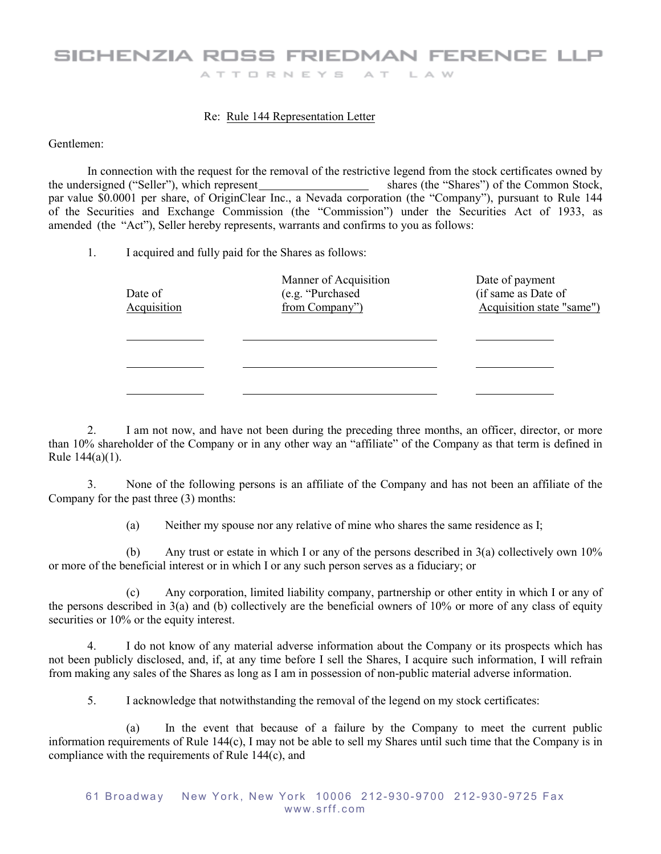## SICHENZIA ROSS FRIEDMAN FERENCE LLP ATTORNEYS AT LAW

## Re: Rule 144 Representation Letter

Gentlemen:

In connection with the request for the removal of the restrictive legend from the stock certificates owned by shares (the "Shares") of the Common Stock, the undersigned ("Seller"), which represent par value \$0.0001 per share, of OriginClear Inc., a Nevada corporation (the "Company"), pursuant to Rule 144 of the Securities and Exchange Commission (the "Commission") under the Securities Act of 1933, as amended (the "Act"), Seller hereby represents, warrants and confirms to you as follows:

1. I acquired and fully paid for the Shares as follows:

| Date of<br><b>Acquisition</b> | Manner of Acquisition<br>(e.g. "Purchased"<br>from Company") | Date of payment<br>(if same as Date of<br>Acquisition state "same") |
|-------------------------------|--------------------------------------------------------------|---------------------------------------------------------------------|
|                               |                                                              |                                                                     |
|                               |                                                              |                                                                     |

2. I am not now, and have not been during the preceding three months, an officer, director, or more than 10% shareholder of the Company or in any other way an "affiliate" of the Company as that term is defined in Rule 144(a)(1).

3. None of the following persons is an affiliate of the Company and has not been an affiliate of the Company for the past three (3) months:

(a) Neither my spouse nor any relative of mine who shares the same residence as I;

(b) Any trust or estate in which I or any of the persons described in 3(a) collectively own 10% or more of the beneficial interest or in which I or any such person serves as a fiduciary; or

(c) Any corporation, limited liability company, partnership or other entity in which I or any of the persons described in 3(a) and (b) collectively are the beneficial owners of 10% or more of any class of equity securities or  $10\%$  or the equity interest.

4. I do not know of any material adverse information about the Company or its prospects which has not been publicly disclosed, and, if, at any time before I sell the Shares, I acquire such information, I will refrain from making any sales of the Shares as long as I am in possession of non-public material adverse information.

5. I acknowledge that notwithstanding the removal of the legend on my stock certificates:

(a) In the event that because of a failure by the Company to meet the current public information requirements of Rule 144(c), I may not be able to sell my Shares until such time that the Company is in compliance with the requirements of Rule 144(c), and